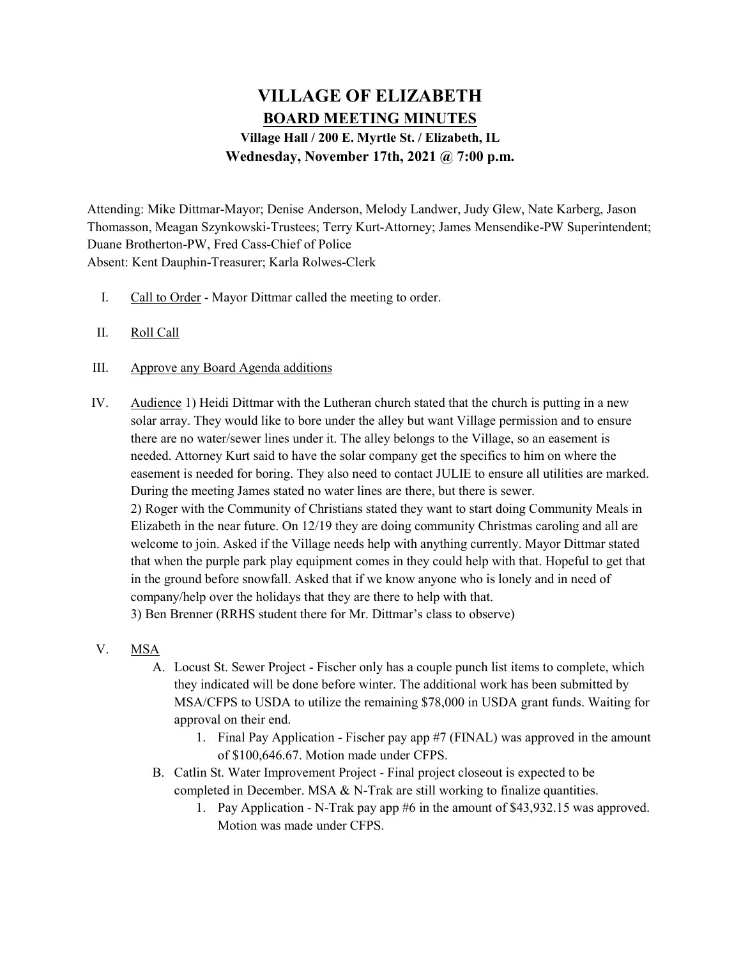## VILLAGE OF ELIZABETH BOARD MEETING MINUTES Village Hall / 200 E. Myrtle St. / Elizabeth, IL Wednesday, November 17th, 2021 @ 7:00 p.m.

Attending: Mike Dittmar-Mayor; Denise Anderson, Melody Landwer, Judy Glew, Nate Karberg, Jason Thomasson, Meagan Szynkowski-Trustees; Terry Kurt-Attorney; James Mensendike-PW Superintendent; Duane Brotherton-PW, Fred Cass-Chief of Police Absent: Kent Dauphin-Treasurer; Karla Rolwes-Clerk

- I. Call to Order Mayor Dittmar called the meeting to order.
- II. Roll Call
- III. Approve any Board Agenda additions
- IV. Audience 1) Heidi Dittmar with the Lutheran church stated that the church is putting in a new solar array. They would like to bore under the alley but want Village permission and to ensure there are no water/sewer lines under it. The alley belongs to the Village, so an easement is needed. Attorney Kurt said to have the solar company get the specifics to him on where the easement is needed for boring. They also need to contact JULIE to ensure all utilities are marked. During the meeting James stated no water lines are there, but there is sewer. 2) Roger with the Community of Christians stated they want to start doing Community Meals in Elizabeth in the near future. On 12/19 they are doing community Christmas caroling and all are welcome to join. Asked if the Village needs help with anything currently. Mayor Dittmar stated that when the purple park play equipment comes in they could help with that. Hopeful to get that

in the ground before snowfall. Asked that if we know anyone who is lonely and in need of company/help over the holidays that they are there to help with that.

3) Ben Brenner (RRHS student there for Mr. Dittmar's class to observe)

- V. MSA
	- A. Locust St. Sewer Project Fischer only has a couple punch list items to complete, which they indicated will be done before winter. The additional work has been submitted by MSA/CFPS to USDA to utilize the remaining \$78,000 in USDA grant funds. Waiting for approval on their end.
		- 1. Final Pay Application Fischer pay app #7 (FINAL) was approved in the amount of \$100,646.67. Motion made under CFPS.
	- B. Catlin St. Water Improvement Project Final project closeout is expected to be completed in December. MSA  $&$  N-Trak are still working to finalize quantities.
		- 1. Pay Application N-Trak pay app #6 in the amount of \$43,932.15 was approved. Motion was made under CFPS.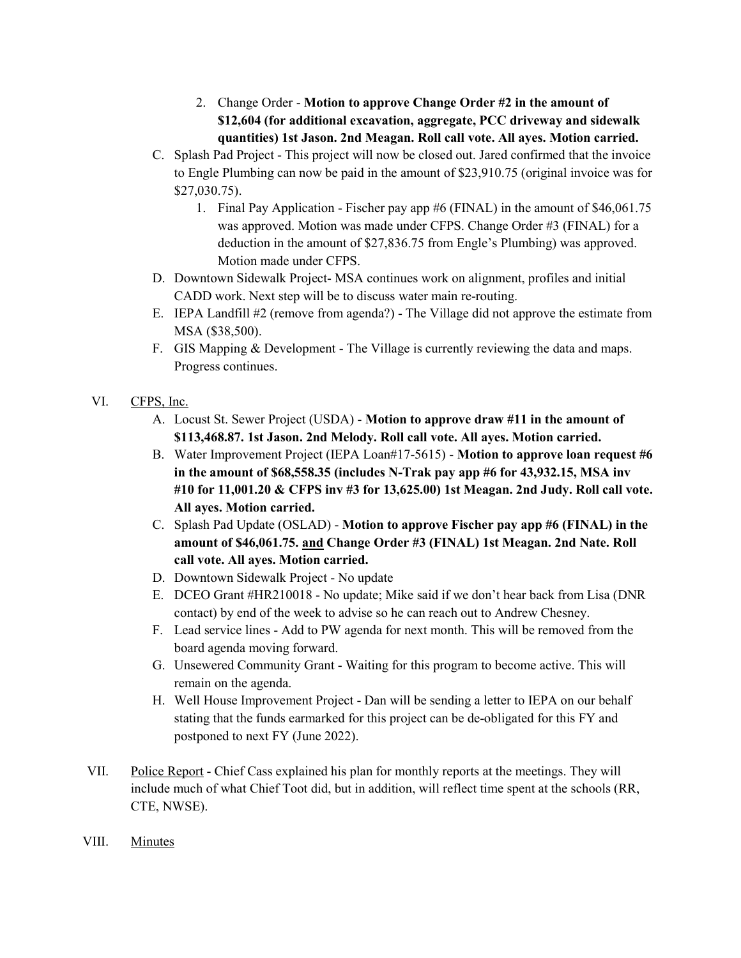- 2. Change Order Motion to approve Change Order #2 in the amount of \$12,604 (for additional excavation, aggregate, PCC driveway and sidewalk quantities) 1st Jason. 2nd Meagan. Roll call vote. All ayes. Motion carried.
- C. Splash Pad Project This project will now be closed out. Jared confirmed that the invoice to Engle Plumbing can now be paid in the amount of \$23,910.75 (original invoice was for \$27,030.75).
	- 1. Final Pay Application Fischer pay app #6 (FINAL) in the amount of \$46,061.75 was approved. Motion was made under CFPS. Change Order #3 (FINAL) for a deduction in the amount of \$27,836.75 from Engle's Plumbing) was approved. Motion made under CFPS.
- D. Downtown Sidewalk Project- MSA continues work on alignment, profiles and initial CADD work. Next step will be to discuss water main re-routing.
- E. IEPA Landfill #2 (remove from agenda?) The Village did not approve the estimate from MSA (\$38,500).
- F. GIS Mapping & Development The Village is currently reviewing the data and maps. Progress continues.
- VI. CFPS, Inc.
	- A. Locust St. Sewer Project (USDA) Motion to approve draw #11 in the amount of \$113,468.87. 1st Jason. 2nd Melody. Roll call vote. All ayes. Motion carried.
	- B. Water Improvement Project (IEPA Loan#17-5615) Motion to approve loan request #6 in the amount of \$68,558.35 (includes N-Trak pay app #6 for 43,932.15, MSA inv #10 for 11,001.20 & CFPS inv #3 for 13,625.00) 1st Meagan. 2nd Judy. Roll call vote. All ayes. Motion carried.
	- C. Splash Pad Update (OSLAD) Motion to approve Fischer pay app #6 (FINAL) in the amount of \$46,061.75. and Change Order #3 (FINAL) 1st Meagan. 2nd Nate. Roll call vote. All ayes. Motion carried.
	- D. Downtown Sidewalk Project No update
	- E. DCEO Grant #HR210018 No update; Mike said if we don't hear back from Lisa (DNR contact) by end of the week to advise so he can reach out to Andrew Chesney.
	- F. Lead service lines Add to PW agenda for next month. This will be removed from the board agenda moving forward.
	- G. Unsewered Community Grant Waiting for this program to become active. This will remain on the agenda.
	- H. Well House Improvement Project Dan will be sending a letter to IEPA on our behalf stating that the funds earmarked for this project can be de-obligated for this FY and postponed to next FY (June 2022).
- VII. Police Report Chief Cass explained his plan for monthly reports at the meetings. They will include much of what Chief Toot did, but in addition, will reflect time spent at the schools (RR, CTE, NWSE).
- VIII. Minutes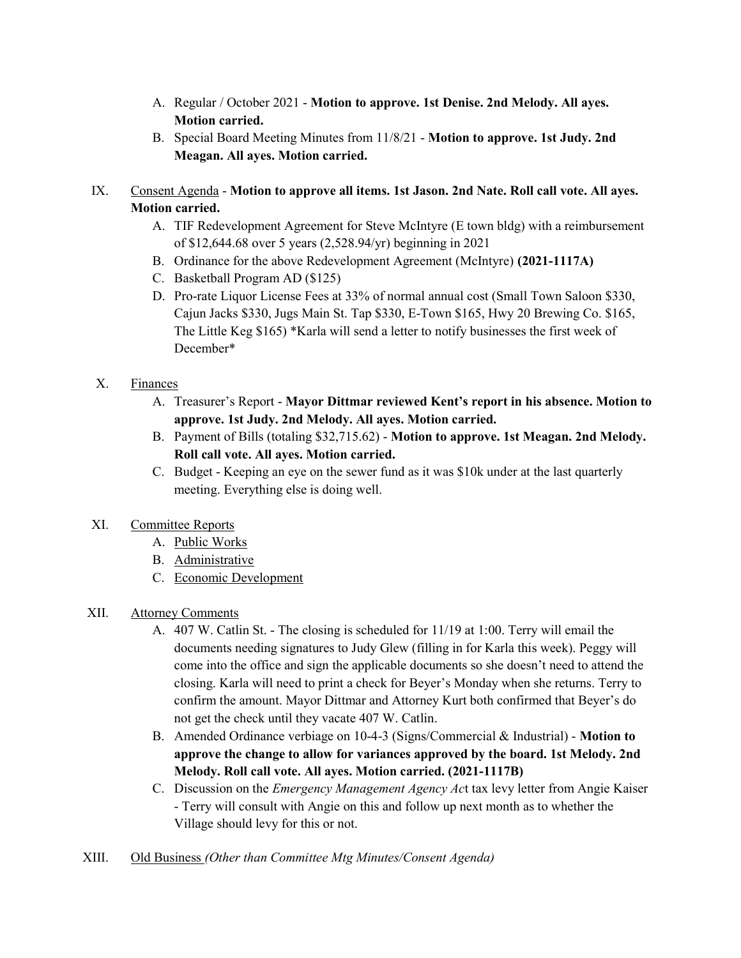- A. Regular / October 2021 Motion to approve. 1st Denise. 2nd Melody. All ayes. Motion carried.
- B. Special Board Meeting Minutes from 11/8/21 Motion to approve. 1st Judy. 2nd Meagan. All ayes. Motion carried.
- IX. Consent Agenda Motion to approve all items. 1st Jason. 2nd Nate. Roll call vote. All ayes. Motion carried.
	- A. TIF Redevelopment Agreement for Steve McIntyre (E town bldg) with a reimbursement of \$12,644.68 over 5 years (2,528.94/yr) beginning in 2021
	- B. Ordinance for the above Redevelopment Agreement (McIntyre) (2021-1117A)
	- C. Basketball Program AD (\$125)
	- D. Pro-rate Liquor License Fees at 33% of normal annual cost (Small Town Saloon \$330, Cajun Jacks \$330, Jugs Main St. Tap \$330, E-Town \$165, Hwy 20 Brewing Co. \$165, The Little Keg \$165) \*Karla will send a letter to notify businesses the first week of December\*

## X. Finances

- A. Treasurer's Report Mayor Dittmar reviewed Kent's report in his absence. Motion to approve. 1st Judy. 2nd Melody. All ayes. Motion carried.
- B. Payment of Bills (totaling \$32,715.62) Motion to approve. 1st Meagan. 2nd Melody. Roll call vote. All ayes. Motion carried.
- C. Budget Keeping an eye on the sewer fund as it was \$10k under at the last quarterly meeting. Everything else is doing well.

## XI. Committee Reports

- A. Public Works
- B. Administrative
- C. Economic Development
- XII. Attorney Comments
	- A. 407 W. Catlin St. The closing is scheduled for 11/19 at 1:00. Terry will email the documents needing signatures to Judy Glew (filling in for Karla this week). Peggy will come into the office and sign the applicable documents so she doesn't need to attend the closing. Karla will need to print a check for Beyer's Monday when she returns. Terry to confirm the amount. Mayor Dittmar and Attorney Kurt both confirmed that Beyer's do not get the check until they vacate 407 W. Catlin.
	- B. Amended Ordinance verbiage on 10-4-3 (Signs/Commercial & Industrial) Motion to approve the change to allow for variances approved by the board. 1st Melody. 2nd Melody. Roll call vote. All ayes. Motion carried. (2021-1117B)
	- C. Discussion on the *Emergency Management Agency Act* tax levy letter from Angie Kaiser - Terry will consult with Angie on this and follow up next month as to whether the Village should levy for this or not.

XIII. Old Business (Other than Committee Mtg Minutes/Consent Agenda)